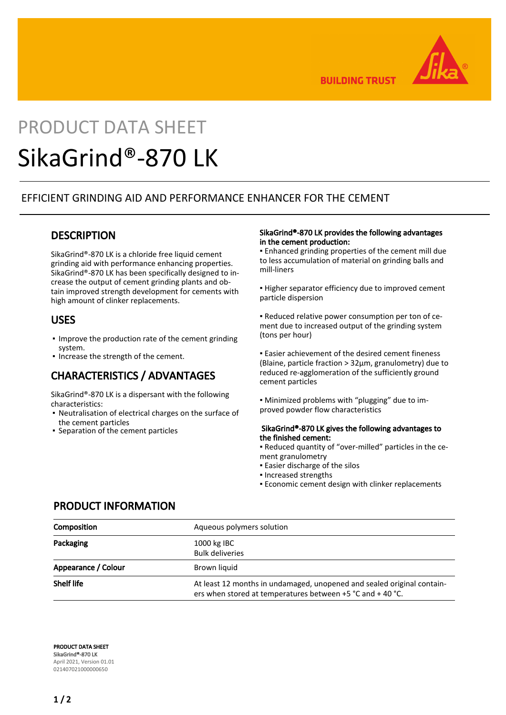

**BUILDING TRUST** 

# PRODUCT DATA SHEET SikaGrind®-870 LK

# EFFICIENT GRINDING AID AND PERFORMANCE ENHANCER FOR THE CEMENT

# **DESCRIPTION**

SikaGrind®-870 LK is a chloride free liquid cement grinding aid with performance enhancing properties. SikaGrind®-870 LK has been specifically designed to increase the output of cement grinding plants and obtain improved strength development for cements with high amount of clinker replacements.

## USES

- **.** Improve the production rate of the cement grinding system.
- Increase the strength of the cement.

# CHARACTERISTICS / ADVANTAGES

SikaGrind®-870 LK is a dispersant with the following characteristics:

- Neutralisation of electrical charges on the surface of the cement particles
- Separation of the cement particles

#### SikaGrind®-870 LK provides the following advantages in the cement production:

▪ Enhanced grinding properties of the cement mill due to less accumulation of material on grinding balls and mill-liners

**.** Higher separator efficiency due to improved cement particle dispersion

▪ Reduced relative power consumption per ton of cement due to increased output of the grinding system (tons per hour)

**Easier achievement of the desired cement fineness** (Blaine, particle fraction > 32μm, granulometry) due to reduced re-agglomeration of the sufficiently ground cement particles

▪ Minimized problems with "plugging" due to improved powder flow characteristics

#### SikaGrind®-870 LK gives the following advantages to the finished cement:

- Reduced quantity of "over-milled" particles in the cement granulometry
- **Easier discharge of the silos**
- Increased strengths
- **Economic cement design with clinker replacements**

### PRODUCT INFORMATION

| Composition         | Aqueous polymers solution                                                                                                            |
|---------------------|--------------------------------------------------------------------------------------------------------------------------------------|
| Packaging           | 1000 kg IBC<br><b>Bulk deliveries</b>                                                                                                |
| Appearance / Colour | Brown liquid                                                                                                                         |
| <b>Shelf life</b>   | At least 12 months in undamaged, unopened and sealed original contain-<br>ers when stored at temperatures between +5 °C and + 40 °C. |

PRODUCT DATA SHEET SikaGrind®-870 LK April 2021, Version 01.01 021407021000000650